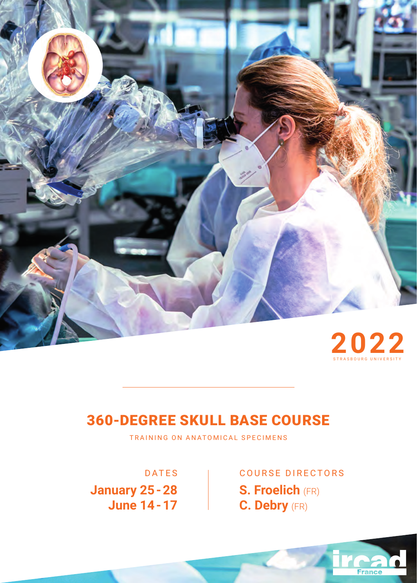

## 360-DEGREE SKULL BASE COURSE

TRAINING ON ANATOMICAL SPECIMENS

**January 25 - 28 June 14 - 17**

DATES | COURSE DIRECTORS **S. Froelich** (FR) **C. Debry** (FR)

**France**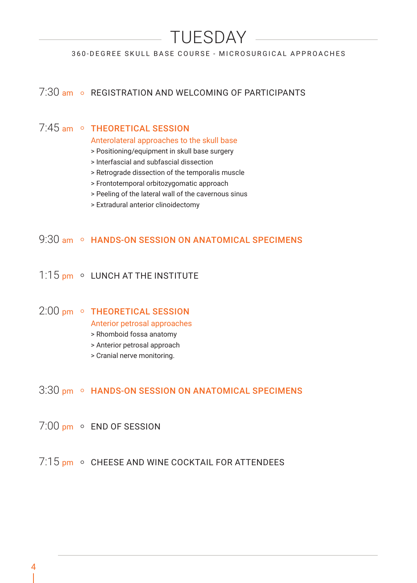# TUESDAY

#### 360-DEGREE SKULL BASE COURSE - MICROSURGICAL APPROACHES

## 7:30 am o REGISTRATION AND WELCOMING OF PARTICIPANTS

## 7.45 am ○ THEORETICAL SESSION

Anterolateral approaches to the skull base

- > Positioning/equipment in skull base surgery
- > Interfascial and subfascial dissection
- > Retrograde dissection of the temporalis muscle
- > Frontotemporal orbitozygomatic approach
- > Peeling of the lateral wall of the cavernous sinus
- > Extradural anterior clinoidectomy

## 9:30 am © HANDS-ON SESSION ON ANATOMICAL SPECIMENS

## 1:15 pm o LUNCH AT THE INSTITUTE

## 2:00 pm o THEORETICAL SESSION

Anterior petrosal approaches

- > Rhomboid fossa anatomy
- > Anterior petrosal approach
- > Cranial nerve monitoring.

## 3:30 pm • HANDS-ON SESSION ON ANATOMICAL SPECIMENS

- 7:00 pm o END OF SESSION
- $7:15$  pm  $\circ$  CHEESE AND WINE COCKTAIL FOR ATTENDEES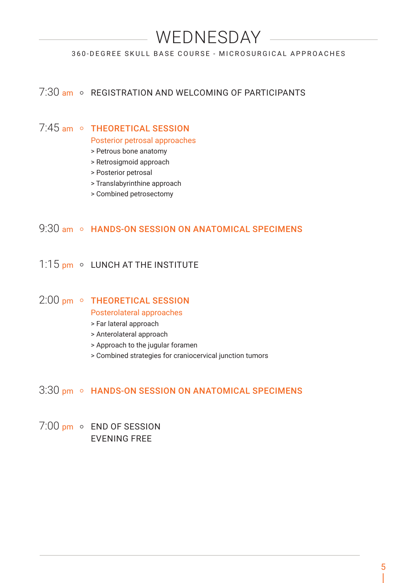## WEDNESDAY

#### 360-DEGREE SKULL BASE COURSE - MICROSURGICAL APPROACHES

## 7:30 am o REGISTRATION AND WELCOMING OF PARTICIPANTS

## 7:45 am ○ THEORETICAL SESSION

Posterior petrosal approaches

- > Petrous bone anatomy
- > Retrosigmoid approach
- > Posterior petrosal
- > Translabyrinthine approach
- > Combined petrosectomy

## 9:30 am o HANDS-ON SESSION ON ANATOMICAL SPECIMENS

## 1:15 pm o LUNCH AT THE INSTITUTE

### 2:00 pm o THEORETICAL SESSION

#### Posterolateral approaches

- > Far lateral approach
- > Anterolateral approach
- > Approach to the jugular foramen
- > Combined strategies for craniocervical junction tumors

### 3:30 pm • HANDS-ON SESSION ON ANATOMICAL SPECIMENS

7:00 pm o END OF SESSION EVENING FREE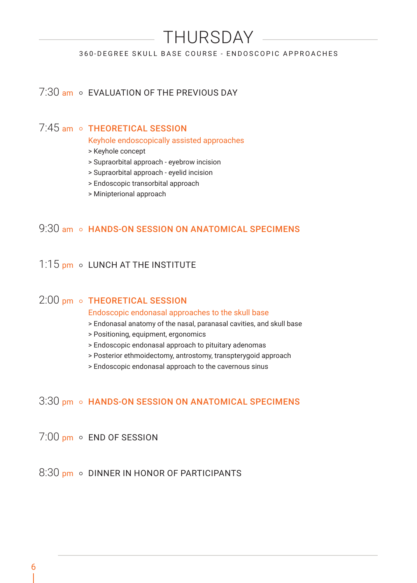## THURSDAY

#### 360-DEGREE SKULL BASE COURSE - ENDOSCOPIC APPROACHES

## 7:30 am o FVALUATION OF THE PREVIOUS DAY

## 7:45 am o THEORETICAL SESSION

Keyhole endoscopically assisted approaches

- > Keyhole concept
- > Supraorbital approach eyebrow incision
- > Supraorbital approach eyelid incision
- > Endoscopic transorbital approach
- > Minipterional approach

## 9:30 am o HANDS-ON SESSION ON ANATOMICAL SPECIMENS

## 1:15 pm o LUNCH AT THE INSTITUTE

### 2:00 pm o THEORETICAL SESSION

#### Endoscopic endonasal approaches to the skull base

- > Endonasal anatomy of the nasal, paranasal cavities, and skull base
- > Positioning, equipment, ergonomics
- > Endoscopic endonasal approach to pituitary adenomas
- > Posterior ethmoidectomy, antrostomy, transpterygoid approach
- > Endoscopic endonasal approach to the cavernous sinus

#### 3:30 pm o HANDS-ON SESSION ON ANATOMICAL SPECIMENS

## 7:00 pm o END OF SESSION

### $8:30$  pm  $\circ$  DINNER IN HONOR OF PARTICIPANTS